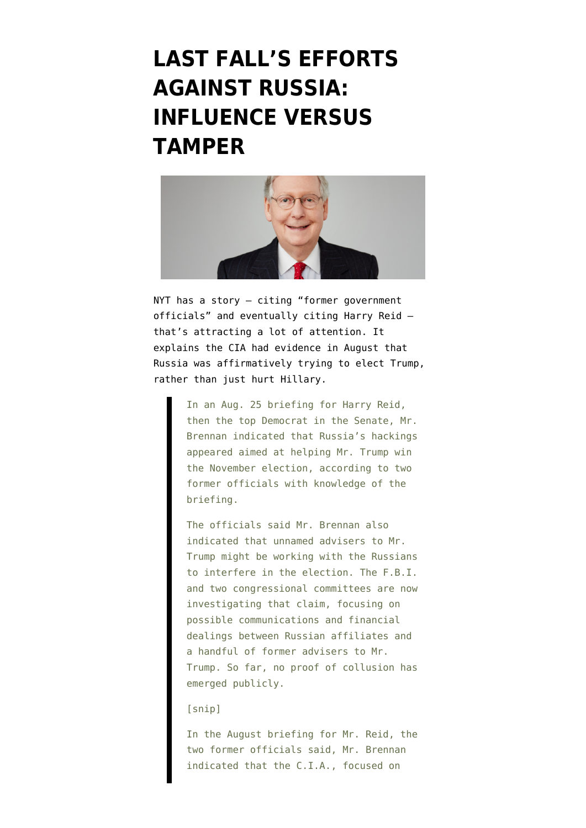# **[LAST FALL'S EFFORTS](https://www.emptywheel.net/2017/04/07/last-falls-efforts-against-russia-influence-versus-tamper/) [AGAINST RUSSIA:](https://www.emptywheel.net/2017/04/07/last-falls-efforts-against-russia-influence-versus-tamper/) [INFLUENCE VERSUS](https://www.emptywheel.net/2017/04/07/last-falls-efforts-against-russia-influence-versus-tamper/) [TAMPER](https://www.emptywheel.net/2017/04/07/last-falls-efforts-against-russia-influence-versus-tamper/)**



NYT has a [story](https://www.nytimes.com/2017/04/06/us/trump-russia-cia-john-brennan.html?_r=0) — citing "former government officials" and eventually citing Harry Reid that's attracting a lot of attention. It explains the CIA had evidence in August that Russia was affirmatively trying to elect Trump, rather than just hurt Hillary.

> In an Aug. 25 briefing for Harry Reid, then the top Democrat in the Senate, Mr. Brennan indicated that Russia's hackings appeared aimed at helping Mr. Trump win the November election, according to two former officials with knowledge of the briefing.

> The officials said Mr. Brennan also indicated that unnamed advisers to Mr. Trump might be working with the Russians to interfere in the election. The F.B.I. and two congressional committees are now investigating that claim, focusing on possible communications and financial dealings between Russian affiliates and a handful of former advisers to Mr. Trump. So far, no proof of collusion has emerged publicly.

### [snip]

In the August briefing for Mr. Reid, the two former officials said, Mr. Brennan indicated that the C.I.A., focused on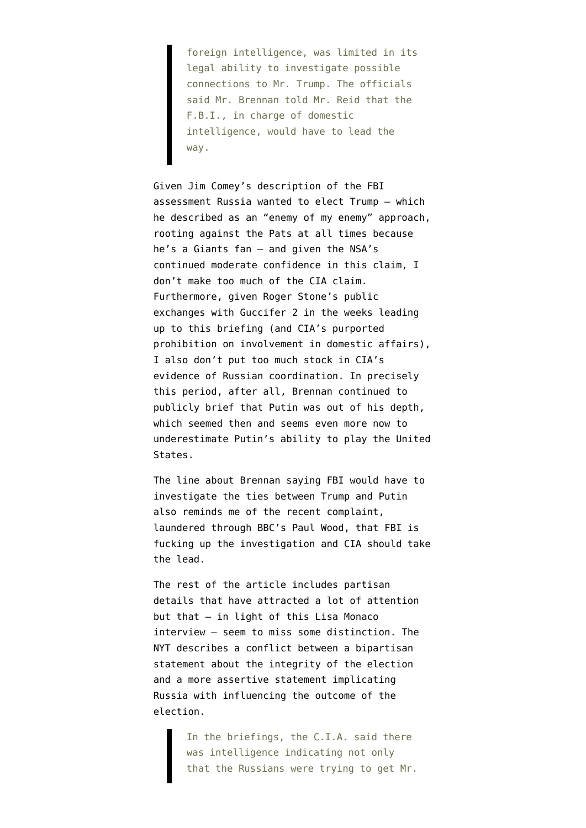foreign intelligence, was limited in its legal ability to investigate possible connections to Mr. Trump. The officials said Mr. Brennan told Mr. Reid that the F.B.I., in charge of domestic intelligence, would have to lead the way.

Given Jim Comey's description of the FBI assessment Russia wanted to elect Trump — which he described as an "enemy of my enemy" approach, rooting against the Pats at all times because he's a Giants fan — and given the NSA's continued moderate confidence in this claim, I don't make too much of the CIA claim. Furthermore, given Roger Stone's public exchanges with Guccifer 2 in the weeks leading up to this briefing (and CIA's purported prohibition on involvement in domestic affairs), I also don't put too much stock in CIA's evidence of Russian coordination. In precisely this period, after all, Brennan continued to publicly brief that Putin was out of his depth, which seemed then and seems even more now to underestimate Putin's ability to play the United States.

The line about Brennan saying FBI would have to investigate the ties between Trump and Putin also reminds me of the recent complaint, [laundered through BBC's Paul Wood,](https://www.emptywheel.net/2017/03/30/bbcs-fisa-reporter-argues-cia-should-lead-trump-investigation/) that FBI is fucking up the investigation and CIA should take the lead.

The rest of the article includes partisan details that have attracted a lot of attention but that — in light of [this Lisa Monaco](https://web-beta.archive.org/web/20170404030520/http://www.politico.com/magazine/story/2017/04/lisa-monaco-the-full-transcript-214974) [interview](https://web-beta.archive.org/web/20170404030520/http://www.politico.com/magazine/story/2017/04/lisa-monaco-the-full-transcript-214974) — seem to miss some distinction. The NYT describes a conflict between a bipartisan statement about the integrity of the election and a more assertive statement implicating Russia with influencing the outcome of the election.

> In the briefings, the C.I.A. said there was intelligence indicating not only that the Russians were trying to get Mr.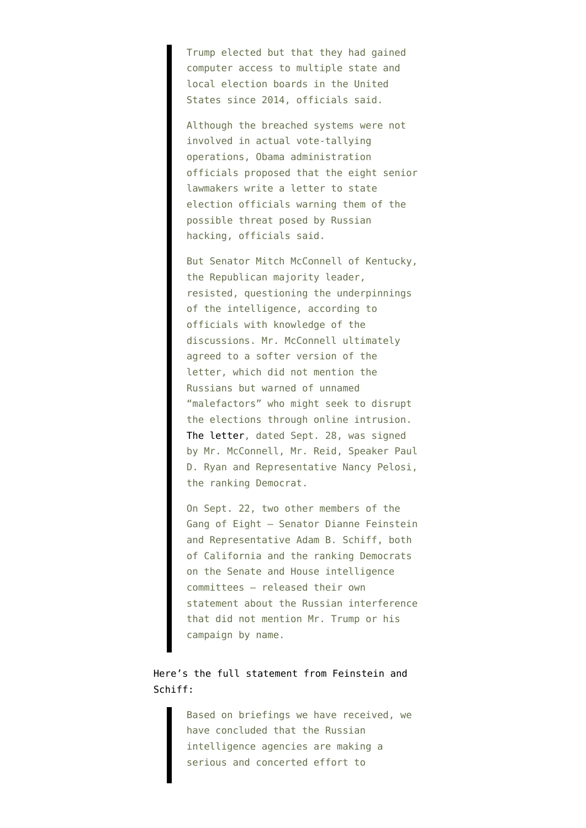Trump elected but that they had gained computer access to multiple state and local election boards in the United States since 2014, officials said.

Although the breached systems were not involved in actual vote-tallying operations, Obama administration officials proposed that the eight senior lawmakers write a letter to state election officials warning them of the possible threat posed by Russian hacking, officials said.

But Senator Mitch McConnell of Kentucky, the Republican majority leader, resisted, questioning the underpinnings of the intelligence, according to officials with knowledge of the discussions. Mr. McConnell ultimately agreed to a softer version of the letter, which did not mention the Russians but warned of unnamed "malefactors" who might seek to disrupt the elections through online intrusion. [The letter](http://www.politico.com/f/?id=00000157-7606-d0b2-a35f-7e1f2aac0001), dated Sept. 28, was signed by Mr. McConnell, Mr. Reid, Speaker Paul D. Ryan and Representative Nancy Pelosi, the ranking Democrat.

On Sept. 22, two other members of the Gang of Eight — Senator Dianne Feinstein and Representative Adam B. Schiff, both of California and the ranking Democrats on the Senate and House intelligence committees — released their own statement about the Russian interference that did not mention Mr. Trump or his campaign by name.

## Here's the [full statement](https://www.feinstein.senate.gov/public/index.cfm/press-releases?ID=A04D321E-5F86-4FD6-AD8E-7F533E1C2845) from Feinstein and Schiff:

Based on briefings we have received, we have concluded that the Russian intelligence agencies are making a serious and concerted effort to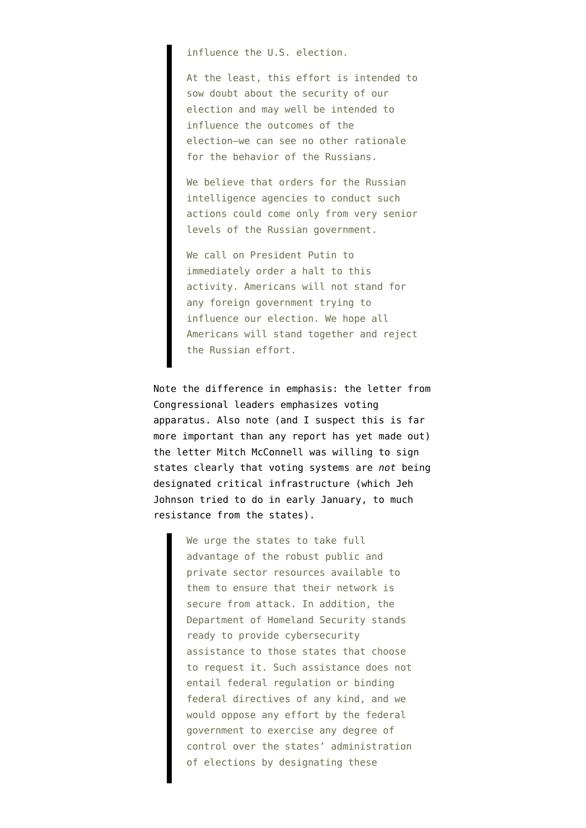influence the U.S. election.

At the least, this effort is intended to sow doubt about the security of our election and may well be intended to influence the outcomes of the election—we can see no other rationale for the behavior of the Russians.

We believe that orders for the Russian intelligence agencies to conduct such actions could come only from very senior levels of the Russian government.

We call on President Putin to immediately order a halt to this activity. Americans will not stand for any foreign government trying to influence our election. We hope all Americans will stand together and reject the Russian effort.

Note the difference in emphasis: the letter from Congressional leaders emphasizes voting apparatus. Also note (and I suspect this is far more important than any report has yet made out) the letter Mitch McConnell was willing to sign states clearly that voting systems are *not* being designated critical infrastructure (which Jeh Johnson tried to do in early January, to much resistance from the states).

> We urge the states to take full advantage of the robust public and private sector resources available to them to ensure that their network is secure from attack. In addition, the Department of Homeland Security stands ready to provide cybersecurity assistance to those states that choose to request it. Such assistance does not entail federal regulation or binding federal directives of any kind, and we would oppose any effort by the federal government to exercise any degree of control over the states' administration of elections by designating these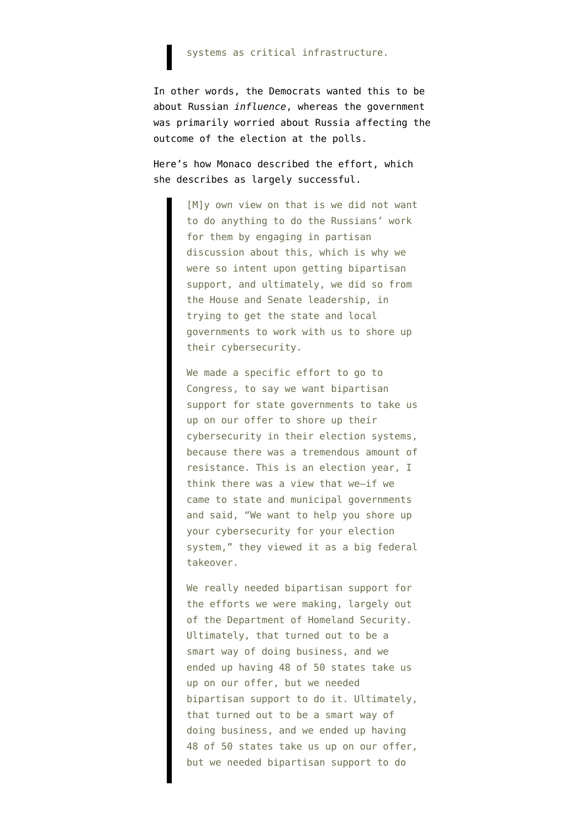#### systems as critical infrastructure.

In other words, the Democrats wanted this to be about Russian *influence*, whereas the government was primarily worried about Russia affecting the outcome of the election at the polls.

Here's how Monaco [described](https://web-beta.archive.org/web/20170404030520/http://www.politico.com/magazine/story/2017/04/lisa-monaco-the-full-transcript-214974) the effort, which she describes as largely successful.

> [M]y own view on that is we did not want to do anything to do the Russians' work for them by engaging in partisan discussion about this, which is why we were so intent upon getting bipartisan support, and ultimately, we did so from the House and Senate leadership, in trying to get the state and local governments to work with us to shore up their cybersecurity.

> We made a specific effort to go to Congress, to say we want bipartisan support for state governments to take us up on our offer to shore up their cybersecurity in their election systems, because there was a tremendous amount of resistance. This is an election year, I think there was a view that we—if we came to state and municipal governments and said, "We want to help you shore up your cybersecurity for your election system," they viewed it as a big federal takeover.

> We really needed bipartisan support for the efforts we were making, largely out of the Department of Homeland Security. Ultimately, that turned out to be a smart way of doing business, and we ended up having 48 of 50 states take us up on our offer, but we needed bipartisan support to do it. Ultimately, that turned out to be a smart way of doing business, and we ended up having 48 of 50 states take us up on our offer, but we needed bipartisan support to do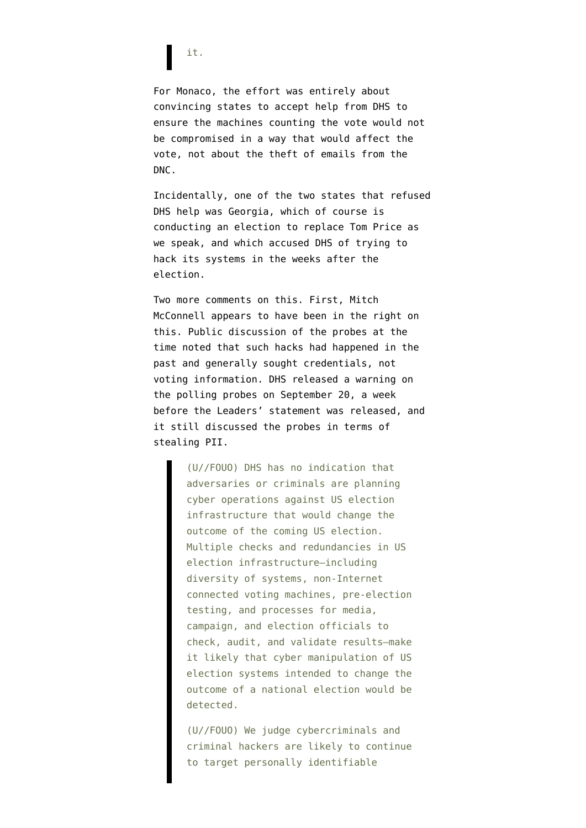## it.

For Monaco, the effort was entirely about convincing states to accept help from DHS to ensure the machines counting the vote would not be compromised in a way that would affect the vote, not about the theft of emails from the DNC.

Incidentally, one of the two states that refused DHS help [was Georgia](https://www.cyberscoop.com/georgia-hack-dhs-brian-kemp-jeh-johnson/), which of course is conducting an election to replace Tom Price as we speak, and which accused DHS of trying to hack its systems in the weeks after the election.

Two more comments on this. First, Mitch McConnell appears to have been in the right on this. Public discussion of the probes at the time noted that such hacks had happened in the past and generally sought credentials, not voting information. DHS released a [warning](https://publicintelligence.net/dhs-election-cyber-threats/) on the polling probes on September 20, a week before the Leaders' statement was released, and it still discussed the probes in terms of stealing PII.

> (U//FOUO) DHS has no indication that adversaries or criminals are planning cyber operations against US election infrastructure that would change the outcome of the coming US election. Multiple checks and redundancies in US election infrastructure—including diversity of systems, non-Internet connected voting machines, pre-election testing, and processes for media, campaign, and election officials to check, audit, and validate results—make it likely that cyber manipulation of US election systems intended to change the outcome of a national election would be detected.

> (U//FOUO) We judge cybercriminals and criminal hackers are likely to continue to target personally identifiable